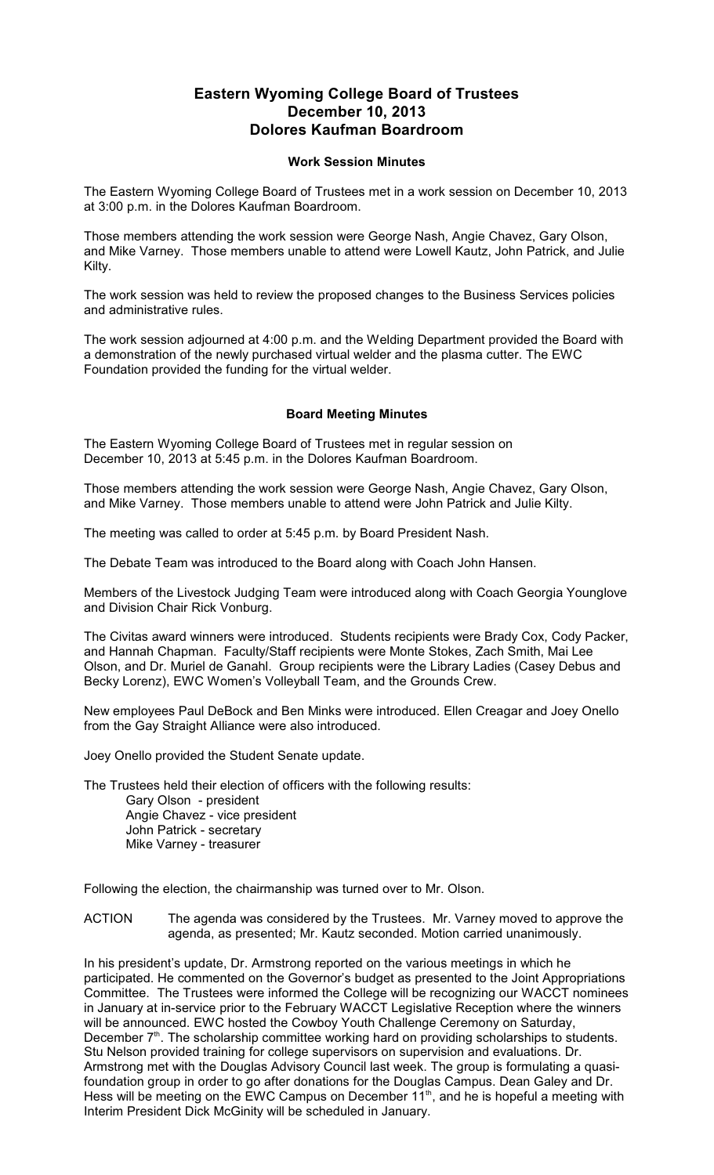## **Eastern Wyoming College Board of Trustees December 10, 2013 Dolores Kaufman Boardroom**

## **Work Session Minutes**

The Eastern Wyoming College Board of Trustees met in a work session on December 10, 2013 at 3:00 p.m. in the Dolores Kaufman Boardroom.

Those members attending the work session were George Nash, Angie Chavez, Gary Olson, and Mike Varney. Those members unable to attend were Lowell Kautz, John Patrick, and Julie Kilty.

The work session was held to review the proposed changes to the Business Services policies and administrative rules.

The work session adjourned at 4:00 p.m. and the Welding Department provided the Board with a demonstration of the newly purchased virtual welder and the plasma cutter. The EWC Foundation provided the funding for the virtual welder.

## **Board Meeting Minutes**

The Eastern Wyoming College Board of Trustees met in regular session on December 10, 2013 at 5:45 p.m. in the Dolores Kaufman Boardroom.

Those members attending the work session were George Nash, Angie Chavez, Gary Olson, and Mike Varney. Those members unable to attend were John Patrick and Julie Kilty.

The meeting was called to order at 5:45 p.m. by Board President Nash.

The Debate Team was introduced to the Board along with Coach John Hansen.

Members of the Livestock Judging Team were introduced along with Coach Georgia Younglove and Division Chair Rick Vonburg.

The Civitas award winners were introduced. Students recipients were Brady Cox, Cody Packer, and Hannah Chapman. Faculty/Staff recipients were Monte Stokes, Zach Smith, Mai Lee Olson, and Dr. Muriel de Ganahl. Group recipients were the Library Ladies (Casey Debus and Becky Lorenz), EWC Women's Volleyball Team, and the Grounds Crew.

New employees Paul DeBock and Ben Minks were introduced. Ellen Creagar and Joey Onello from the Gay Straight Alliance were also introduced.

Joey Onello provided the Student Senate update.

The Trustees held their election of officers with the following results: Gary Olson - president Angie Chavez - vice president John Patrick - secretary Mike Varney - treasurer

Following the election, the chairmanship was turned over to Mr. Olson.

ACTION The agenda was considered by the Trustees. Mr. Varney moved to approve the agenda, as presented; Mr. Kautz seconded. Motion carried unanimously.

In his president's update, Dr. Armstrong reported on the various meetings in which he participated. He commented on the Governor's budget as presented to the Joint Appropriations Committee. The Trustees were informed the College will be recognizing our WACCT nominees in January at in-service prior to the February WACCT Legislative Reception where the winners will be announced. EWC hosted the Cowboy Youth Challenge Ceremony on Saturday, December  $7<sup>th</sup>$ . The scholarship committee working hard on providing scholarships to students. Stu Nelson provided training for college supervisors on supervision and evaluations. Dr. Armstrong met with the Douglas Advisory Council last week. The group is formulating a quasifoundation group in order to go after donations for the Douglas Campus. Dean Galey and Dr. Hess will be meeting on the EWC Campus on December  $11<sup>th</sup>$ , and he is hopeful a meeting with Interim President Dick McGinity will be scheduled in January.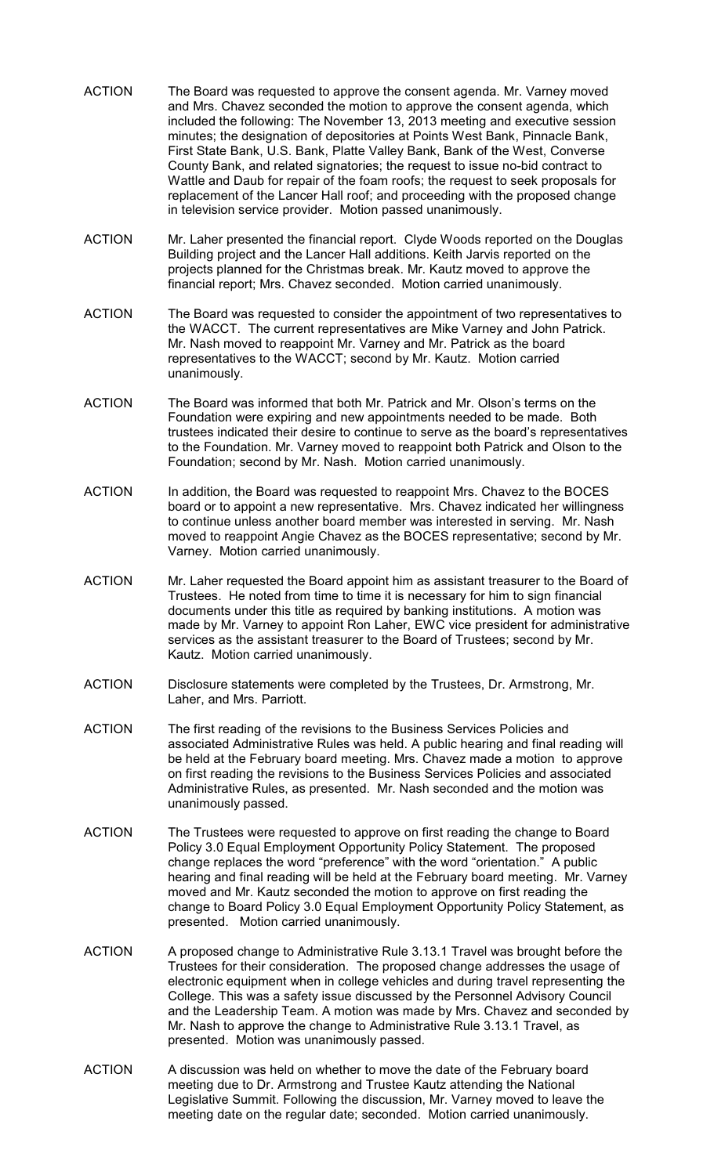- ACTION The Board was requested to approve the consent agenda. Mr. Varney moved and Mrs. Chavez seconded the motion to approve the consent agenda, which included the following: The November 13, 2013 meeting and executive session minutes; the designation of depositories at Points West Bank, Pinnacle Bank, First State Bank, U.S. Bank, Platte Valley Bank, Bank of the West, Converse County Bank, and related signatories; the request to issue no-bid contract to Wattle and Daub for repair of the foam roofs; the request to seek proposals for replacement of the Lancer Hall roof; and proceeding with the proposed change in television service provider. Motion passed unanimously.
- ACTION Mr. Laher presented the financial report. Clyde Woods reported on the Douglas Building project and the Lancer Hall additions. Keith Jarvis reported on the projects planned for the Christmas break. Mr. Kautz moved to approve the financial report; Mrs. Chavez seconded. Motion carried unanimously.
- ACTION The Board was requested to consider the appointment of two representatives to the WACCT. The current representatives are Mike Varney and John Patrick. Mr. Nash moved to reappoint Mr. Varney and Mr. Patrick as the board representatives to the WACCT; second by Mr. Kautz. Motion carried unanimously.
- ACTION The Board was informed that both Mr. Patrick and Mr. Olson's terms on the Foundation were expiring and new appointments needed to be made. Both trustees indicated their desire to continue to serve as the board's representatives to the Foundation. Mr. Varney moved to reappoint both Patrick and Olson to the Foundation; second by Mr. Nash. Motion carried unanimously.
- ACTION In addition, the Board was requested to reappoint Mrs. Chavez to the BOCES board or to appoint a new representative. Mrs. Chavez indicated her willingness to continue unless another board member was interested in serving. Mr. Nash moved to reappoint Angie Chavez as the BOCES representative; second by Mr. Varney. Motion carried unanimously.
- ACTION Mr. Laher requested the Board appoint him as assistant treasurer to the Board of Trustees. He noted from time to time it is necessary for him to sign financial documents under this title as required by banking institutions. A motion was made by Mr. Varney to appoint Ron Laher, EWC vice president for administrative services as the assistant treasurer to the Board of Trustees; second by Mr. Kautz. Motion carried unanimously.
- ACTION Disclosure statements were completed by the Trustees, Dr. Armstrong, Mr. Laher, and Mrs. Parriott.
- ACTION The first reading of the revisions to the Business Services Policies and associated Administrative Rules was held. A public hearing and final reading will be held at the February board meeting. Mrs. Chavez made a motion to approve on first reading the revisions to the Business Services Policies and associated Administrative Rules, as presented. Mr. Nash seconded and the motion was unanimously passed.
- ACTION The Trustees were requested to approve on first reading the change to Board Policy 3.0 Equal Employment Opportunity Policy Statement. The proposed change replaces the word "preference" with the word "orientation." A public hearing and final reading will be held at the February board meeting. Mr. Varney moved and Mr. Kautz seconded the motion to approve on first reading the change to Board Policy 3.0 Equal Employment Opportunity Policy Statement, as presented. Motion carried unanimously.
- ACTION A proposed change to Administrative Rule 3.13.1 Travel was brought before the Trustees for their consideration. The proposed change addresses the usage of electronic equipment when in college vehicles and during travel representing the College. This was a safety issue discussed by the Personnel Advisory Council and the Leadership Team. A motion was made by Mrs. Chavez and seconded by Mr. Nash to approve the change to Administrative Rule 3.13.1 Travel, as presented. Motion was unanimously passed.
- ACTION A discussion was held on whether to move the date of the February board meeting due to Dr. Armstrong and Trustee Kautz attending the National Legislative Summit. Following the discussion, Mr. Varney moved to leave the meeting date on the regular date; seconded. Motion carried unanimously.